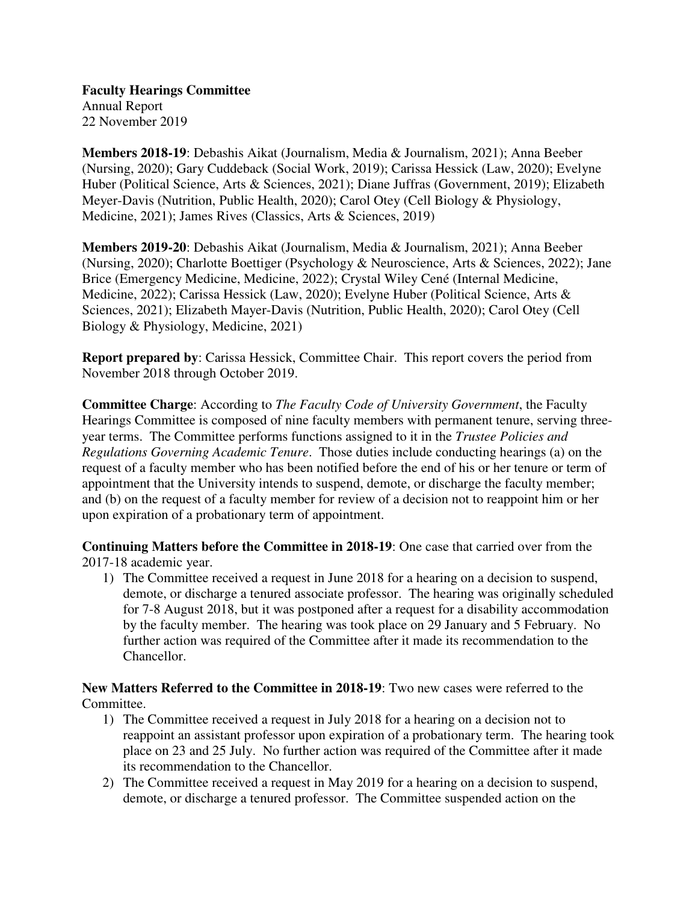**Faculty Hearings Committee**  Annual Report 22 November 2019

**Members 2018-19**: Debashis Aikat (Journalism, Media & Journalism, 2021); Anna Beeber (Nursing, 2020); Gary Cuddeback (Social Work, 2019); Carissa Hessick (Law, 2020); Evelyne Huber (Political Science, Arts & Sciences, 2021); Diane Juffras (Government, 2019); Elizabeth Meyer-Davis (Nutrition, Public Health, 2020); Carol Otey (Cell Biology & Physiology, Medicine, 2021); James Rives (Classics, Arts & Sciences, 2019)

**Members 2019-20**: Debashis Aikat (Journalism, Media & Journalism, 2021); Anna Beeber (Nursing, 2020); Charlotte Boettiger (Psychology & Neuroscience, Arts & Sciences, 2022); Jane Brice (Emergency Medicine, Medicine, 2022); Crystal Wiley Cené (Internal Medicine, Medicine, 2022); Carissa Hessick (Law, 2020); Evelyne Huber (Political Science, Arts & Sciences, 2021); Elizabeth Mayer-Davis (Nutrition, Public Health, 2020); Carol Otey (Cell Biology & Physiology, Medicine, 2021)

**Report prepared by**: Carissa Hessick, Committee Chair. This report covers the period from November 2018 through October 2019.

**Committee Charge**: According to *The Faculty Code of University Government*, the Faculty Hearings Committee is composed of nine faculty members with permanent tenure, serving threeyear terms. The Committee performs functions assigned to it in the *Trustee Policies and Regulations Governing Academic Tenure*. Those duties include conducting hearings (a) on the request of a faculty member who has been notified before the end of his or her tenure or term of appointment that the University intends to suspend, demote, or discharge the faculty member; and (b) on the request of a faculty member for review of a decision not to reappoint him or her upon expiration of a probationary term of appointment.

**Continuing Matters before the Committee in 2018-19**: One case that carried over from the 2017-18 academic year.

1) The Committee received a request in June 2018 for a hearing on a decision to suspend, demote, or discharge a tenured associate professor. The hearing was originally scheduled for 7-8 August 2018, but it was postponed after a request for a disability accommodation by the faculty member. The hearing was took place on 29 January and 5 February. No further action was required of the Committee after it made its recommendation to the Chancellor.

**New Matters Referred to the Committee in 2018-19**: Two new cases were referred to the Committee.

- 1) The Committee received a request in July 2018 for a hearing on a decision not to reappoint an assistant professor upon expiration of a probationary term. The hearing took place on 23 and 25 July. No further action was required of the Committee after it made its recommendation to the Chancellor.
- 2) The Committee received a request in May 2019 for a hearing on a decision to suspend, demote, or discharge a tenured professor. The Committee suspended action on the